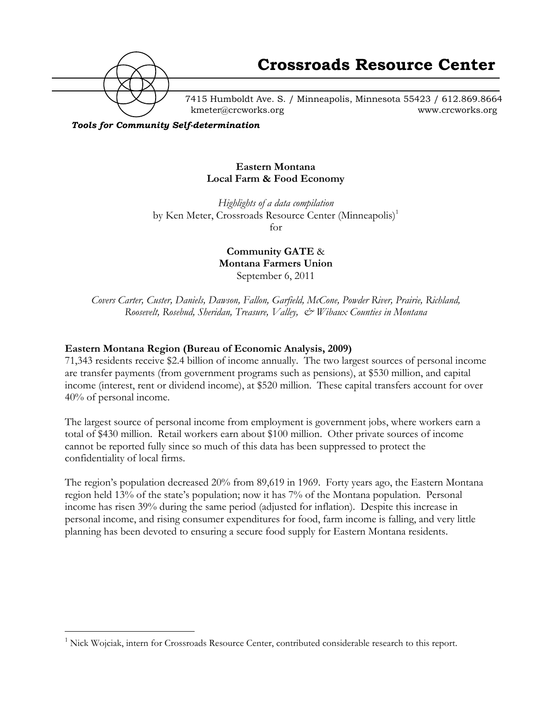

7415 Humboldt Ave. S. / Minneapolis, Minnesota 55423 / 612.869.8664 kmeter@crcworks.org www.crcworks.org

*Tools for Community Self-determination*

#### **Eastern Montana Local Farm & Food Economy**

*Highlights of a data compilation* by Ken Meter, Crossroads Resource Center (Minneapolis)<sup>1</sup> for

> **Community GATE** & **Montana Farmers Union** September 6, 2011

*Covers Carter, Custer, Daniels, Dawson, Fallon, Garfield, McCone, Powder River, Prairie, Richland, Roosevelt, Rosebud, Sheridan, Treasure, Valley, & Wibaux Counties in Montana*

#### **Eastern Montana Region (Bureau of Economic Analysis, 2009)**

71,343 residents receive \$2.4 billion of income annually. The two largest sources of personal income are transfer payments (from government programs such as pensions), at \$530 million, and capital income (interest, rent or dividend income), at \$520 million. These capital transfers account for over 40% of personal income.

The largest source of personal income from employment is government jobs, where workers earn a total of \$430 million. Retail workers earn about \$100 million. Other private sources of income cannot be reported fully since so much of this data has been suppressed to protect the confidentiality of local firms.

The region's population decreased 20% from 89,619 in 1969. Forty years ago, the Eastern Montana region held 13% of the state's population; now it has 7% of the Montana population. Personal income has risen 39% during the same period (adjusted for inflation). Despite this increase in personal income, and rising consumer expenditures for food, farm income is falling, and very little planning has been devoted to ensuring a secure food supply for Eastern Montana residents.

 $\frac{1}{1}$  $1$  Nick Wojciak, intern for Crossroads Resource Center, contributed considerable research to this report.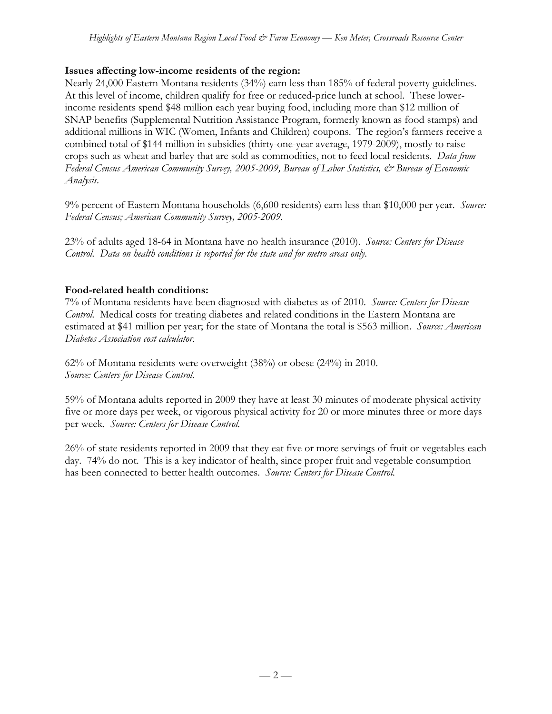#### **Issues affecting low-income residents of the region:**

Nearly 24,000 Eastern Montana residents (34%) earn less than 185% of federal poverty guidelines. At this level of income, children qualify for free or reduced-price lunch at school. These lowerincome residents spend \$48 million each year buying food, including more than \$12 million of SNAP benefits (Supplemental Nutrition Assistance Program, formerly known as food stamps) and additional millions in WIC (Women, Infants and Children) coupons. The region's farmers receive a combined total of \$144 million in subsidies (thirty-one-year average, 1979-2009), mostly to raise crops such as wheat and barley that are sold as commodities, not to feed local residents. *Data from Federal Census American Community Survey, 2005-2009, Bureau of Labor Statistics, & Bureau of Economic Analysis.*

9% percent of Eastern Montana households (6,600 residents) earn less than \$10,000 per year. *Source: Federal Census; American Community Survey, 2005-2009.*

23% of adults aged 18-64 in Montana have no health insurance (2010). *Source: Centers for Disease Control. Data on health conditions is reported for the state and for metro areas only.*

### **Food-related health conditions:**

7% of Montana residents have been diagnosed with diabetes as of 2010. *Source: Centers for Disease Control.* Medical costs for treating diabetes and related conditions in the Eastern Montana are estimated at \$41 million per year; for the state of Montana the total is \$563 million. *Source: American Diabetes Association cost calculator.*

62% of Montana residents were overweight (38%) or obese (24%) in 2010. *Source: Centers for Disease Control.*

59% of Montana adults reported in 2009 they have at least 30 minutes of moderate physical activity five or more days per week, or vigorous physical activity for 20 or more minutes three or more days per week. *Source: Centers for Disease Control.*

26% of state residents reported in 2009 that they eat five or more servings of fruit or vegetables each day. 74% do not. This is a key indicator of health, since proper fruit and vegetable consumption has been connected to better health outcomes. *Source: Centers for Disease Control.*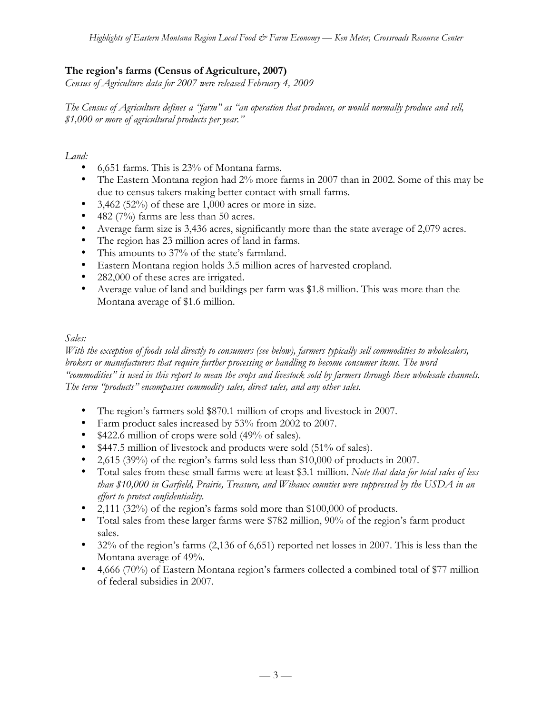## **The region's farms (Census of Agriculture, 2007)**

*Census of Agriculture data for 2007 were released February 4, 2009*

*The Census of Agriculture defines a "farm" as "an operation that produces, or would normally produce and sell, \$1,000 or more of agricultural products per year."*

*Land:*

- 6,651 farms. This is 23% of Montana farms.
- The Eastern Montana region had 2% more farms in 2007 than in 2002. Some of this may be due to census takers making better contact with small farms.
- 3,462 (52%) of these are 1,000 acres or more in size.
- 482 (7%) farms are less than 50 acres.
- Average farm size is 3,436 acres, significantly more than the state average of 2,079 acres.
- The region has 23 million acres of land in farms.
- This amounts to 37% of the state's farmland.
- Eastern Montana region holds 3.5 million acres of harvested cropland.
- 282,000 of these acres are irrigated.
- Average value of land and buildings per farm was \$1.8 million. This was more than the Montana average of \$1.6 million.

### *Sales:*

*With the exception of foods sold directly to consumers (see below), farmers typically sell commodities to wholesalers, brokers or manufacturers that require further processing or handling to become consumer items. The word "commodities" is used in this report to mean the crops and livestock sold by farmers through these wholesale channels. The term "products" encompasses commodity sales, direct sales, and any other sales.*

- The region's farmers sold \$870.1 million of crops and livestock in 2007.
- Farm product sales increased by 53% from 2002 to 2007.
- \$422.6 million of crops were sold (49% of sales).
- \$447.5 million of livestock and products were sold (51% of sales).
- 2,615 (39%) of the region's farms sold less than \$10,000 of products in 2007.
- Total sales from these small farms were at least \$3.1 million. *Note that data for total sales of less than \$10,000 in Garfield, Prairie, Treasure, and Wibaux counties were suppressed by the USDA in an effort to protect confidentiality.*
- 2,111 (32%) of the region's farms sold more than \$100,000 of products.
- Total sales from these larger farms were \$782 million, 90% of the region's farm product sales.
- 32% of the region's farms (2,136 of 6,651) reported net losses in 2007. This is less than the Montana average of 49%.
- 4,666 (70%) of Eastern Montana region's farmers collected a combined total of \$77 million of federal subsidies in 2007.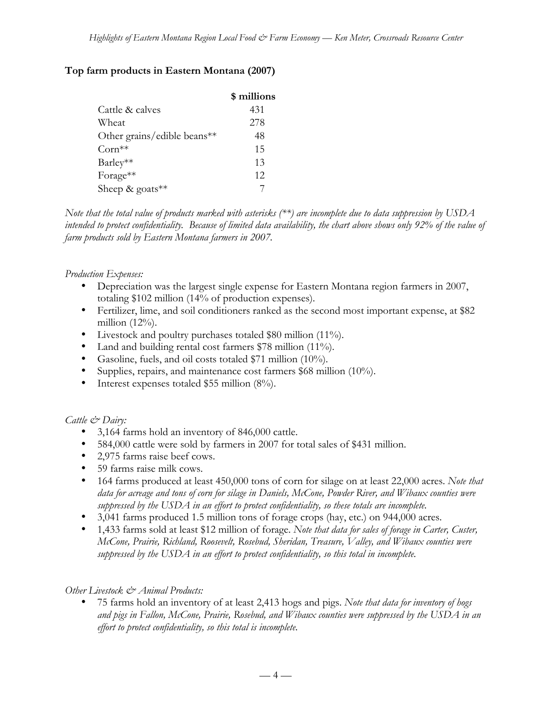## **Top farm products in Eastern Montana (2007)**

|                             | \$ millions |
|-----------------------------|-------------|
| Cattle & calves             | 431         |
| Wheat                       | 278         |
| Other grains/edible beans** | 48          |
| $Corn**$                    | 15          |
| Barley**                    | 13          |
| Forage**                    | 12          |
| Sheep & goats**             |             |

*Note that the total value of products marked with asterisks (\*\*) are incomplete due to data suppression by USDA intended to protect confidentiality. Because of limited data availability, the chart above shows only 92% of the value of farm products sold by Eastern Montana farmers in 2007.*

## *Production Expenses:*

- Depreciation was the largest single expense for Eastern Montana region farmers in 2007, totaling \$102 million (14% of production expenses).
- Fertilizer, lime, and soil conditioners ranked as the second most important expense, at \$82 million (12%).
- Livestock and poultry purchases totaled \$80 million (11%).
- Land and building rental cost farmers \$78 million (11%).
- Gasoline, fuels, and oil costs totaled \$71 million (10%).
- Supplies, repairs, and maintenance cost farmers \$68 million (10%).
- Interest expenses totaled \$55 million (8%).

## *Cattle & Dairy:*

- 3,164 farms hold an inventory of 846,000 cattle.
- 584,000 cattle were sold by farmers in 2007 for total sales of \$431 million.
- 2,975 farms raise beef cows.
- 59 farms raise milk cows.
- 164 farms produced at least 450,000 tons of corn for silage on at least 22,000 acres. *Note that data for acreage and tons of corn for silage in Daniels, McCone, Powder River, and Wibaux counties were suppressed by the USDA in an effort to protect confidentiality, so these totals are incomplete.*
- 3,041 farms produced 1.5 million tons of forage crops (hay, etc.) on 944,000 acres.
- 1,433 farms sold at least \$12 million of forage. *Note that data for sales of forage in Carter, Custer, McCone, Prairie, Richland, Roosevelt, Rosebud, Sheridan, Treasure, Valley, and Wibaux counties were suppressed by the USDA in an effort to protect confidentiality, so this total in incomplete.*

## *Other Livestock & Animal Products:*

• 75 farms hold an inventory of at least 2,413 hogs and pigs. *Note that data for inventory of hogs and pigs in Fallon, McCone, Prairie, Rosebud, and Wibaux counties were suppressed by the USDA in an effort to protect confidentiality, so this total is incomplete.*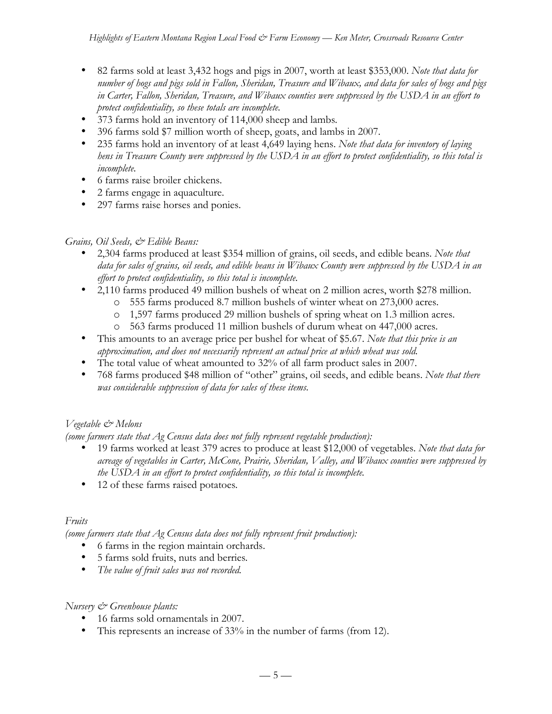- 82 farms sold at least 3,432 hogs and pigs in 2007, worth at least \$353,000. *Note that data for number of hogs and pigs sold in Fallon, Sheridan, Treasure and Wibaux, and data for sales of hogs and pigs in Carter, Fallon, Sheridan, Treasure, and Wibaux counties were suppressed by the USDA in an effort to protect confidentiality, so these totals are incomplete.*
- 373 farms hold an inventory of 114,000 sheep and lambs*.*
- 396 farms sold \$7 million worth of sheep, goats, and lambs in 2007.
- 235 farms hold an inventory of at least 4,649 laying hens. *Note that data for inventory of laying hens in Treasure County were suppressed by the USDA in an effort to protect confidentiality, so this total is incomplete.*
- 6 farms raise broiler chickens.
- 2 farms engage in aquaculture.
- 297 farms raise horses and ponies.

#### *Grains, Oil Seeds, & Edible Beans:*

- 2,304 farms produced at least \$354 million of grains, oil seeds, and edible beans. *Note that data for sales of grains, oil seeds, and edible beans in Wibaux County were suppressed by the USDA in an effort to protect confidentiality, so this total is incomplete.*
- 2,110 farms produced 49 million bushels of wheat on 2 million acres, worth \$278 million.
	- o 555 farms produced 8.7 million bushels of winter wheat on 273,000 acres.
	- o 1,597 farms produced 29 million bushels of spring wheat on 1.3 million acres.
	- o 563 farms produced 11 million bushels of durum wheat on 447,000 acres.
- This amounts to an average price per bushel for wheat of \$5.67. *Note that this price is an approximation, and does not necessarily represent an actual price at which wheat was sold.*
- The total value of wheat amounted to 32% of all farm product sales in 2007.
- 768 farms produced \$48 million of "other" grains, oil seeds, and edible beans. *Note that there was considerable suppression of data for sales of these items.*

## *Vegetable & Melons*

*(some farmers state that Ag Census data does not fully represent vegetable production):*

- 19 farms worked at least 379 acres to produce at least \$12,000 of vegetables. *Note that data for acreage of vegetables in Carter, McCone, Prairie, Sheridan, Valley, and Wibaux counties were suppressed by the USDA in an effort to protect confidentiality, so this total is incomplete.*
- 12 of these farms raised potatoes*.*

#### *Fruits*

*(some farmers state that Ag Census data does not fully represent fruit production):*

- 6 farms in the region maintain orchards.
- 5 farms sold fruits, nuts and berries*.*
- *The value of fruit sales was not recorded.*

#### *Nursery & Greenhouse plants:*

- 16 farms sold ornamentals in 2007.
- This represents an increase of 33% in the number of farms (from 12).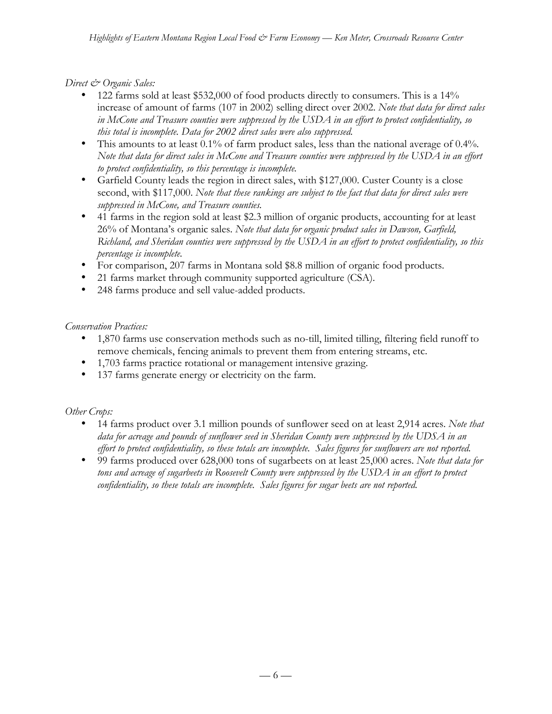### *Direct & Organic Sales:*

- 122 farms sold at least \$532,000 of food products directly to consumers. This is a 14% increase of amount of farms (107 in 2002) selling direct over 2002. *Note that data for direct sales in McCone and Treasure counties were suppressed by the USDA in an effort to protect confidentiality, so this total is incomplete. Data for 2002 direct sales were also suppressed.*
- This amounts to at least 0.1% of farm product sales, less than the national average of 0.4%*. Note that data for direct sales in McCone and Treasure counties were suppressed by the USDA in an effort to protect confidentiality, so this percentage is incomplete.*
- Garfield County leads the region in direct sales, with \$127,000. Custer County is a close second, with \$117,000. *Note that these rankings are subject to the fact that data for direct sales were suppressed in McCone, and Treasure counties.*
- 41 farms in the region sold at least \$2.3 million of organic products, accounting for at least 26% of Montana's organic sales. *Note that data for organic product sales in Dawson, Garfield, Richland, and Sheridan counties were suppressed by the USDA in an effort to protect confidentiality, so this percentage is incomplete.*
- For comparison, 207 farms in Montana sold \$8.8 million of organic food products.
- 21 farms market through community supported agriculture (CSA).
- 248 farms produce and sell value-added products.

#### *Conservation Practices:*

- 1,870 farms use conservation methods such as no-till, limited tilling, filtering field runoff to remove chemicals, fencing animals to prevent them from entering streams, etc.
- 1,703 farms practice rotational or management intensive grazing.
- 137 farms generate energy or electricity on the farm.

#### *Other Crops:*

- 14 farms product over 3.1 million pounds of sunflower seed on at least 2,914 acres. *Note that data for acreage and pounds of sunflower seed in Sheridan County were suppressed by the UDSA in an effort to protect confidentiality, so these totals are incomplete. Sales figures for sunflowers are not reported.*
- 99 farms produced over 628,000 tons of sugarbeets on at least 25,000 acres. *Note that data for tons and acreage of sugarbeets in Roosevelt County were suppressed by the USDA in an effort to protect confidentiality, so these totals are incomplete. Sales figures for sugar beets are not reported.*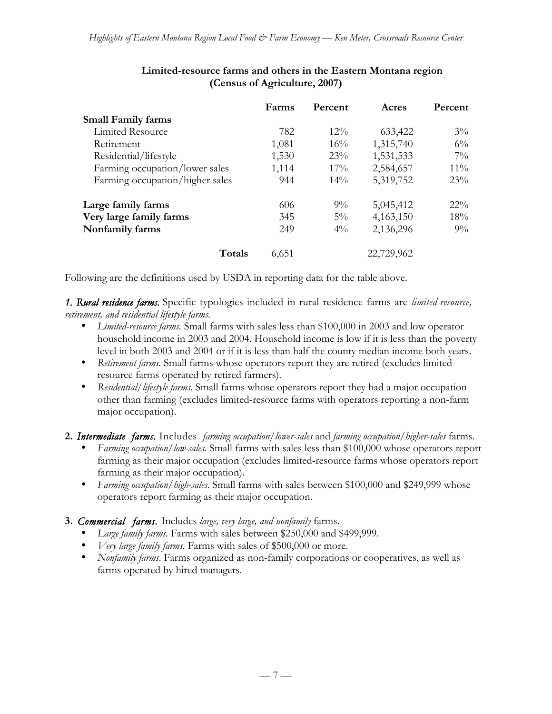|                                 | Farms | Percent | Acres      | Percent |
|---------------------------------|-------|---------|------------|---------|
| <b>Small Family farms</b>       |       |         |            |         |
| Limited Resource                | 782   | $12\%$  | 633,422    | $3\%$   |
| Retirement                      | 1,081 | 16%     | 1,315,740  | $6\%$   |
| Residential/lifestyle           | 1,530 | 23%     | 1,531,533  | $7\%$   |
| Farming occupation/lower sales  | 1,114 | $17\%$  | 2,584,657  | $11\%$  |
| Farming occupation/higher sales | 944   | $14\%$  | 5,319,752  | 23%     |
| Large family farms              | 606   | $9\%$   | 5,045,412  | $22\%$  |
| Very large family farms         | 345   | $5\%$   | 4,163,150  | 18%     |
| Nonfamily farms                 | 249   | $4\%$   | 2,136,296  | $9\%$   |
| Totals                          | 6,651 |         | 22,729,962 |         |

### **Limited-resource farms and others in the Eastern Montana region (Census of Agriculture, 2007)**

Following are the definitions used by USDA in reporting data for the table above.

*1. Rural residence farms.* Specific typologies included in rural residence farms are *limited-resource, retirement, and residential lifestyle farms.*

- *Limited-resource farms.* Small farms with sales less than \$100,000 in 2003 and low operator household income in 2003 and 2004. Household income is low if it is less than the poverty level in both 2003 and 2004 or if it is less than half the county median income both years.
- *Retirement farms.* Small farms whose operators report they are retired (excludes limitedresource farms operated by retired farmers).
- *Residential/lifestyle farms.* Small farms whose operators report they had a major occupation other than farming (excludes limited-resource farms with operators reporting a non-farm major occupation).

**2.** *Intermediate farms.* Includes *farming occupation/lower-sales* and *farming occupation/higher-sales* farms.

- *Farming occupation/low-sales.* Small farms with sales less than \$100,000 whose operators report farming as their major occupation (excludes limited-resource farms whose operators report farming as their major occupation).
- *Farming occupation/high-sales*. Small farms with sales between \$100,000 and \$249,999 whose operators report farming as their major occupation.
- **3.** *Commercial farms.* Includes *large, very large, and nonfamily* farms.
	- *Large family farms.* Farms with sales between \$250,000 and \$499,999.
	- *Very large family farms.* Farms with sales of \$500,000 or more.
	- *Nonfamily farms*. Farms organized as non-family corporations or cooperatives, as well as farms operated by hired managers.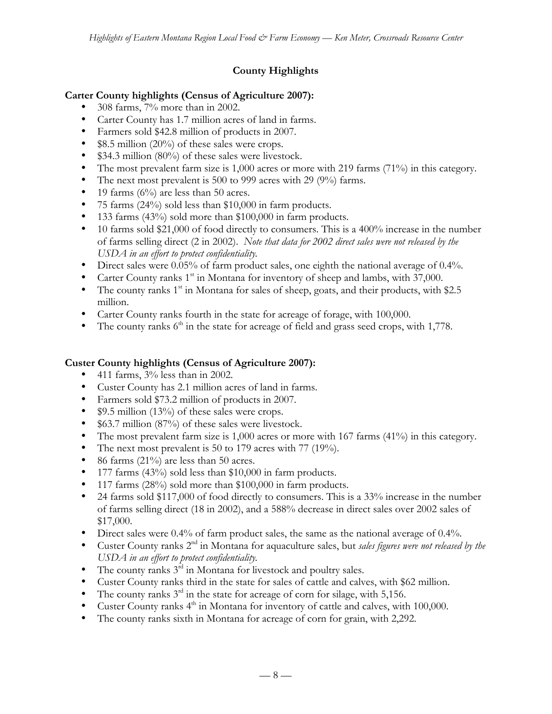# **County Highlights**

## **Carter County highlights (Census of Agriculture 2007):**

- 308 farms, 7% more than in 2002.
- Carter County has 1.7 million acres of land in farms.
- Farmers sold \$42.8 million of products in 2007.
- \$8.5 million (20%) of these sales were crops.
- \$34.3 million (80%) of these sales were livestock.
- The most prevalent farm size is 1,000 acres or more with 219 farms (71%) in this category.
- The next most prevalent is 500 to 999 acres with 29 (9%) farms.
- 19 farms  $(6\%)$  are less than 50 acres.
- 75 farms (24%) sold less than \$10,000 in farm products.
- 133 farms (43%) sold more than \$100,000 in farm products.
- 10 farms sold \$21,000 of food directly to consumers. This is a 400% increase in the number of farms selling direct (2 in 2002). *Note that data for 2002 direct sales were not released by the USDA in an effort to protect confidentiality.*
- Direct sales were 0.05% of farm product sales, one eighth the national average of 0.4%.
- Carter County ranks  $1<sup>st</sup>$  in Montana for inventory of sheep and lambs, with 37,000.
- The county ranks  $1<sup>st</sup>$  in Montana for sales of sheep, goats, and their products, with \$2.5 million.
- Carter County ranks fourth in the state for acreage of forage, with 100,000.
- The county ranks  $6<sup>th</sup>$  in the state for acreage of field and grass seed crops, with 1,778.

## **Custer County highlights (Census of Agriculture 2007):**

- 411 farms,  $3\%$  less than in 2002.
- Custer County has 2.1 million acres of land in farms.
- Farmers sold \$73.2 million of products in 2007.
- \$9.5 million (13%) of these sales were crops.
- \$63.7 million (87%) of these sales were livestock.
- The most prevalent farm size is 1,000 acres or more with 167 farms (41%) in this category.
- The next most prevalent is 50 to 179 acres with 77 (19%).
- 86 farms (21%) are less than 50 acres.
- 177 farms  $(43\%)$  sold less than \$10,000 in farm products.
- 117 farms (28%) sold more than \$100,000 in farm products.
- 24 farms sold \$117,000 of food directly to consumers. This is a 33% increase in the number of farms selling direct (18 in 2002), and a 588% decrease in direct sales over 2002 sales of \$17,000.
- Direct sales were 0.4% of farm product sales, the same as the national average of 0.4%.
- Custer County ranks 2nd in Montana for aquaculture sales, but *sales figures were not released by the USDA in an effort to protect confidentiality.*
- The county ranks  $3<sup>rd</sup>$  in Montana for livestock and poultry sales.
- Custer County ranks third in the state for sales of cattle and calves, with \$62 million.
- The county ranks  $3^{rd}$  in the state for acreage of corn for silage, with 5,156.
- Custer County ranks 4<sup>th</sup> in Montana for inventory of cattle and calves, with 100,000.
- The county ranks sixth in Montana for acreage of corn for grain, with 2,292.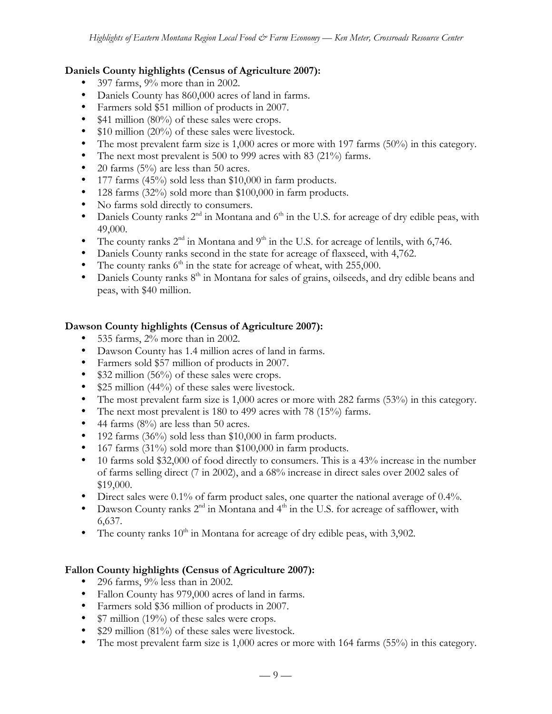### **Daniels County highlights (Census of Agriculture 2007):**

- 397 farms, 9% more than in 2002.
- Daniels County has 860,000 acres of land in farms.
- Farmers sold \$51 million of products in 2007.
- \$41 million (80%) of these sales were crops.
- \$10 million (20%) of these sales were livestock.
- The most prevalent farm size is 1,000 acres or more with 197 farms (50%) in this category.
- The next most prevalent is 500 to 999 acres with 83 (21%) farms.
- 20 farms  $(5\%)$  are less than 50 acres.
- 177 farms (45%) sold less than \$10,000 in farm products.
- 128 farms (32%) sold more than \$100,000 in farm products.
- No farms sold directly to consumers.
- Daniels County ranks  $2^{nd}$  in Montana and  $6^{th}$  in the U.S. for acreage of dry edible peas, with 49,000.
- The county ranks  $2<sup>nd</sup>$  in Montana and  $9<sup>th</sup>$  in the U.S. for acreage of lentils, with 6,746.
- Daniels County ranks second in the state for acreage of flaxseed, with 4,762.
- The county ranks  $6<sup>th</sup>$  in the state for acreage of wheat, with 255,000.
- Daniels County ranks  $8<sup>th</sup>$  in Montana for sales of grains, oilseeds, and dry edible beans and peas, with \$40 million.

### **Dawson County highlights (Census of Agriculture 2007):**

- 535 farms, 2% more than in 2002.
- Dawson County has 1.4 million acres of land in farms.
- Farmers sold \$57 million of products in 2007.
- \$32 million (56%) of these sales were crops.
- \$25 million (44%) of these sales were livestock.
- The most prevalent farm size is 1,000 acres or more with 282 farms (53%) in this category.
- The next most prevalent is 180 to 499 acres with 78 (15%) farms.
- 44 farms  $(8\%)$  are less than 50 acres.
- 192 farms (36%) sold less than \$10,000 in farm products.
- 167 farms (31%) sold more than \$100,000 in farm products.
- 10 farms sold \$32,000 of food directly to consumers. This is a 43% increase in the number of farms selling direct (7 in 2002), and a 68% increase in direct sales over 2002 sales of \$19,000.
- Direct sales were 0.1% of farm product sales, one quarter the national average of 0.4%.
- Dawson County ranks  $2^{nd}$  in Montana and  $4^{th}$  in the U.S. for acreage of safflower, with 6,637.
- The county ranks  $10^{th}$  in Montana for acreage of dry edible peas, with 3,902.

## **Fallon County highlights (Census of Agriculture 2007):**

- 296 farms,  $9\%$  less than in 2002.
- Fallon County has 979,000 acres of land in farms.
- Farmers sold \$36 million of products in 2007.
- \$7 million (19%) of these sales were crops.
- \$29 million (81%) of these sales were livestock.
- The most prevalent farm size is 1,000 acres or more with 164 farms (55%) in this category.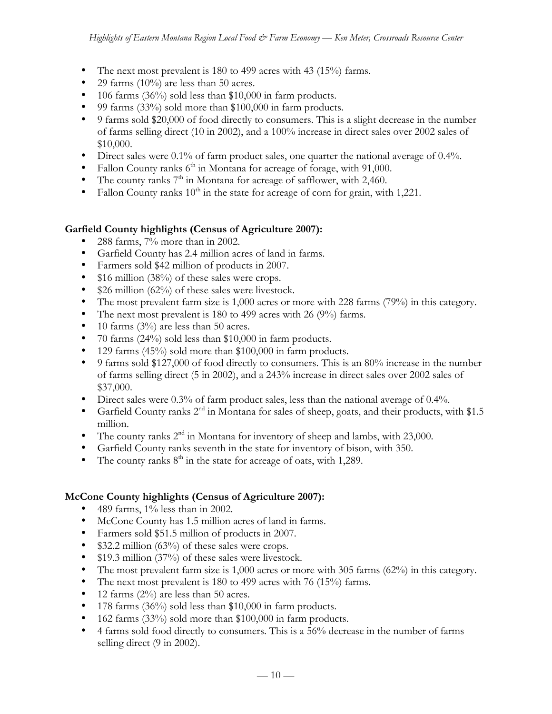- The next most prevalent is 180 to 499 acres with 43 (15%) farms.
- 29 farms (10%) are less than 50 acres.
- 106 farms (36%) sold less than \$10,000 in farm products.
- 99 farms (33%) sold more than \$100,000 in farm products.
- 9 farms sold \$20,000 of food directly to consumers. This is a slight decrease in the number of farms selling direct (10 in 2002), and a 100% increase in direct sales over 2002 sales of \$10,000.
- Direct sales were 0.1% of farm product sales, one quarter the national average of 0.4%.
- Fallon County ranks  $6<sup>th</sup>$  in Montana for acreage of forage, with 91,000.
- The county ranks  $7<sup>th</sup>$  in Montana for acreage of safflower, with 2,460.
- Fallon County ranks  $10<sup>th</sup>$  in the state for acreage of corn for grain, with 1,221.

#### **Garfield County highlights (Census of Agriculture 2007):**

- 288 farms, 7% more than in 2002.
- Garfield County has 2.4 million acres of land in farms.
- Farmers sold \$42 million of products in 2007.
- \$16 million (38%) of these sales were crops.
- \$26 million (62%) of these sales were livestock.
- The most prevalent farm size is 1,000 acres or more with 228 farms (79%) in this category.
- The next most prevalent is 180 to 499 acres with 26 (9%) farms.
- 10 farms (3%) are less than 50 acres.
- 70 farms (24%) sold less than \$10,000 in farm products.
- 129 farms (45%) sold more than \$100,000 in farm products.
- 9 farms sold \$127,000 of food directly to consumers. This is an 80% increase in the number of farms selling direct (5 in 2002), and a 243% increase in direct sales over 2002 sales of \$37,000.
- Direct sales were 0.3% of farm product sales, less than the national average of 0.4%.
- Garfield County ranks  $2<sup>nd</sup>$  in Montana for sales of sheep, goats, and their products, with \$1.5 million.
- The county ranks  $2<sup>nd</sup>$  in Montana for inventory of sheep and lambs, with 23,000.
- Garfield County ranks seventh in the state for inventory of bison, with 350.
- The county ranks  $8<sup>th</sup>$  in the state for acreage of oats, with 1,289.

#### **McCone County highlights (Census of Agriculture 2007):**

- 489 farms,  $1\%$  less than in 2002.
- McCone County has 1.5 million acres of land in farms.
- Farmers sold \$51.5 million of products in 2007.
- \$32.2 million (63%) of these sales were crops.
- \$19.3 million (37%) of these sales were livestock.
- The most prevalent farm size is 1,000 acres or more with 305 farms (62%) in this category.
- The next most prevalent is 180 to 499 acres with 76 (15%) farms.
- 12 farms  $(2\%)$  are less than 50 acres.
- 178 farms (36%) sold less than \$10,000 in farm products.
- 162 farms (33%) sold more than \$100,000 in farm products.
- 4 farms sold food directly to consumers. This is a 56% decrease in the number of farms selling direct (9 in 2002).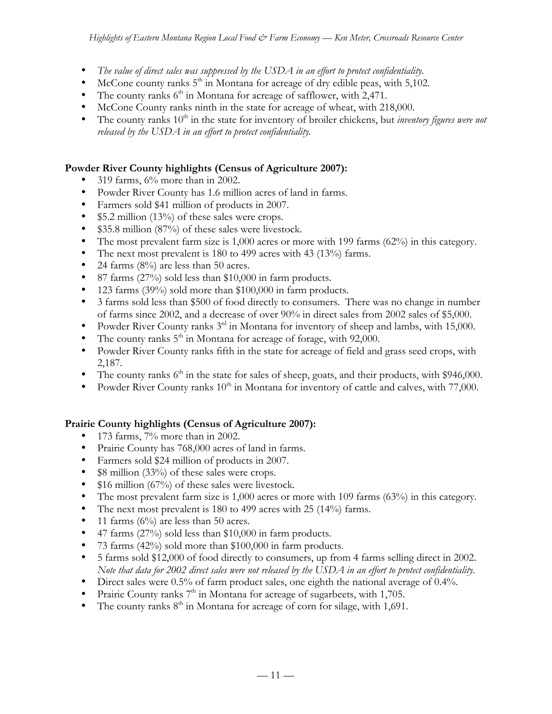- *The value of direct sales was suppressed by the USDA in an effort to protect confidentiality.*
- McCone county ranks  $5<sup>th</sup>$  in Montana for acreage of dry edible peas, with  $5,102$ .
- The county ranks  $6<sup>th</sup>$  in Montana for acreage of safflower, with 2,471.
- McCone County ranks ninth in the state for acreage of wheat, with 218,000.
- The county ranks  $10<sup>th</sup>$  in the state for inventory of broiler chickens, but *inventory figures were not released by the USDA in an effort to protect confidentiality.*

## **Powder River County highlights (Census of Agriculture 2007):**

- 319 farms, 6% more than in 2002.
- Powder River County has 1.6 million acres of land in farms.
- Farmers sold \$41 million of products in 2007.
- \$5.2 million (13%) of these sales were crops.
- \$35.8 million (87%) of these sales were livestock.
- The most prevalent farm size is 1,000 acres or more with 199 farms (62%) in this category.
- The next most prevalent is 180 to 499 acres with 43 (13%) farms.
- 24 farms  $(8\%)$  are less than 50 acres.
- 87 farms (27%) sold less than \$10,000 in farm products.
- 123 farms (39%) sold more than \$100,000 in farm products.
- 3 farms sold less than \$500 of food directly to consumers. There was no change in number of farms since 2002, and a decrease of over 90% in direct sales from 2002 sales of \$5,000.
- Powder River County ranks 3<sup>rd</sup> in Montana for inventory of sheep and lambs, with 15,000.
- The county ranks  $5<sup>th</sup>$  in Montana for acreage of forage, with 92,000.
- Powder River County ranks fifth in the state for acreage of field and grass seed crops, with 2,187.
- The county ranks  $6<sup>th</sup>$  in the state for sales of sheep, goats, and their products, with \$946,000.
- Powder River County ranks  $10<sup>th</sup>$  in Montana for inventory of cattle and calves, with 77,000.

# **Prairie County highlights (Census of Agriculture 2007):**

- 173 farms, 7% more than in 2002.
- Prairie County has 768,000 acres of land in farms.
- Farmers sold \$24 million of products in 2007.
- \$8 million (33%) of these sales were crops.
- \$16 million (67%) of these sales were livestock.
- The most prevalent farm size is 1,000 acres or more with 109 farms (63%) in this category.
- The next most prevalent is 180 to 499 acres with 25 (14%) farms.
- 11 farms  $(6\%)$  are less than 50 acres.
- 47 farms (27%) sold less than \$10,000 in farm products.
- 73 farms (42%) sold more than \$100,000 in farm products.
- 5 farms sold \$12,000 of food directly to consumers, up from 4 farms selling direct in 2002. *Note that data for 2002 direct sales were not released by the USDA in an effort to protect confidentiality.*
- Direct sales were 0.5% of farm product sales, one eighth the national average of 0.4%.
- Prairie County ranks  $7<sup>th</sup>$  in Montana for acreage of sugarbeets, with 1,705.
- The county ranks  $8<sup>th</sup>$  in Montana for acreage of corn for silage, with 1,691.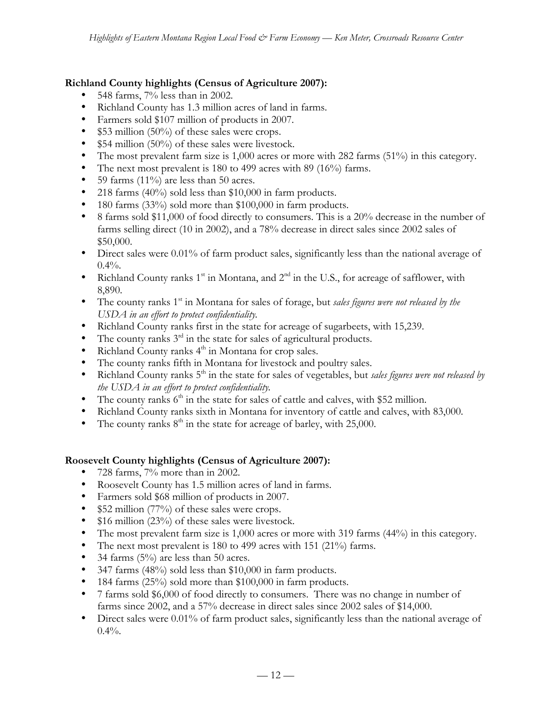### **Richland County highlights (Census of Agriculture 2007):**

- $548$  farms,  $7\%$  less than in 2002.
- Richland County has 1.3 million acres of land in farms.
- Farmers sold \$107 million of products in 2007.
- \$53 million (50%) of these sales were crops.
- \$54 million (50%) of these sales were livestock.
- The most prevalent farm size is 1,000 acres or more with 282 farms (51%) in this category.
- The next most prevalent is 180 to 499 acres with 89 (16%) farms.
- 59 farms (11%) are less than 50 acres.
- 218 farms (40%) sold less than \$10,000 in farm products.
- 180 farms (33%) sold more than \$100,000 in farm products.
- 8 farms sold \$11,000 of food directly to consumers. This is a 20% decrease in the number of farms selling direct (10 in 2002), and a 78% decrease in direct sales since 2002 sales of \$50,000.
- Direct sales were 0.01% of farm product sales, significantly less than the national average of  $0.4\%$ .
- Richland County ranks  $1<sup>st</sup>$  in Montana, and  $2<sup>nd</sup>$  in the U.S., for acreage of safflower, with 8,890.
- The county ranks 1<sup>st</sup> in Montana for sales of forage, but *sales figures were not released by the USDA in an effort to protect confidentiality.*
- Richland County ranks first in the state for acreage of sugarbeets, with 15,239.
- The county ranks  $3<sup>rd</sup>$  in the state for sales of agricultural products.
- Richland County ranks  $4<sup>th</sup>$  in Montana for crop sales.
- The county ranks fifth in Montana for livestock and poultry sales.
- Richland County ranks 5<sup>th</sup> in the state for sales of vegetables, but *sales figures were not released by the USDA in an effort to protect confidentiality.*
- The county ranks  $6<sup>th</sup>$  in the state for sales of cattle and calves, with \$52 million.
- Richland County ranks sixth in Montana for inventory of cattle and calves, with 83,000.
- The county ranks  $8<sup>th</sup>$  in the state for acreage of barley, with 25,000.

## **Roosevelt County highlights (Census of Agriculture 2007):**

- 728 farms, 7% more than in 2002.
- Roosevelt County has 1.5 million acres of land in farms.
- Farmers sold \$68 million of products in 2007.
- \$52 million (77%) of these sales were crops.
- \$16 million (23%) of these sales were livestock.
- The most prevalent farm size is 1,000 acres or more with 319 farms (44%) in this category.
- The next most prevalent is 180 to 499 acres with 151 (21%) farms.
- 34 farms  $(5\%)$  are less than 50 acres.
- 347 farms (48%) sold less than \$10,000 in farm products.
- 184 farms (25%) sold more than \$100,000 in farm products.
- 7 farms sold \$6,000 of food directly to consumers. There was no change in number of farms since 2002, and a 57% decrease in direct sales since 2002 sales of \$14,000.
- Direct sales were 0.01% of farm product sales, significantly less than the national average of  $0.4\%$ .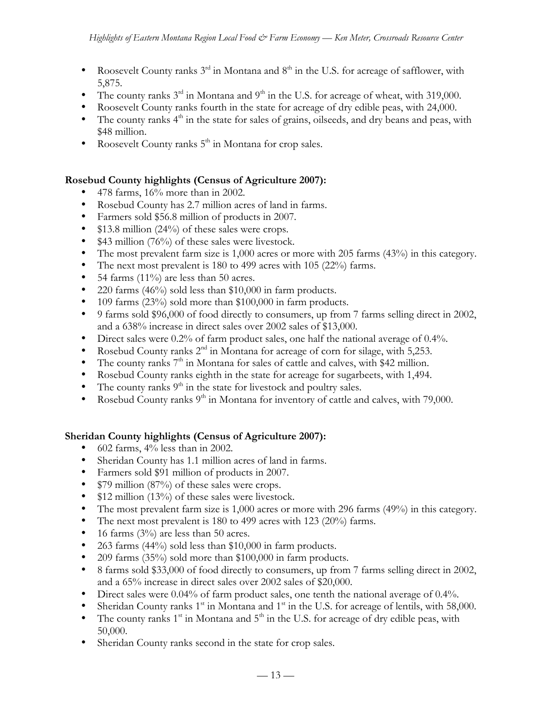- Roosevelt County ranks  $3^{rd}$  in Montana and  $8^{th}$  in the U.S. for acreage of safflower, with 5,875.
- The county ranks  $3^{rd}$  in Montana and  $9^{th}$  in the U.S. for acreage of wheat, with 319,000.
- Roosevelt County ranks fourth in the state for acreage of dry edible peas, with 24,000.
- $\bullet$  The county ranks  $4^{\text{th}}$  in the state for sales of grains, oilseeds, and dry beans and peas, with \$48 million.
- Roosevelt County ranks  $5<sup>th</sup>$  in Montana for crop sales.

### **Rosebud County highlights (Census of Agriculture 2007):**

- 478 farms, 16% more than in 2002.
- Rosebud County has 2.7 million acres of land in farms.
- Farmers sold \$56.8 million of products in 2007.
- \$13.8 million (24%) of these sales were crops.
- \$43 million (76%) of these sales were livestock.
- The most prevalent farm size is 1,000 acres or more with 205 farms (43%) in this category.
- The next most prevalent is 180 to 499 acres with 105 (22%) farms.
- 54 farms  $(11\%)$  are less than 50 acres.
- 220 farms (46%) sold less than \$10,000 in farm products.
- 109 farms (23%) sold more than \$100,000 in farm products.
- 9 farms sold \$96,000 of food directly to consumers, up from 7 farms selling direct in 2002, and a 638% increase in direct sales over 2002 sales of \$13,000.
- Direct sales were 0.2% of farm product sales, one half the national average of 0.4%.
- Rosebud County ranks  $2<sup>nd</sup>$  in Montana for acreage of corn for silage, with 5,253.
- The county ranks  $7<sup>th</sup>$  in Montana for sales of cattle and calves, with \$42 million.
- Rosebud County ranks eighth in the state for acreage for sugarbeets, with 1,494.
- The county ranks  $9<sup>th</sup>$  in the state for livestock and poultry sales.
- Rosebud County ranks  $9<sup>th</sup>$  in Montana for inventory of cattle and calves, with 79,000.

#### **Sheridan County highlights (Census of Agriculture 2007):**

- 602 farms,  $4\%$  less than in 2002.
- Sheridan County has 1.1 million acres of land in farms.
- Farmers sold \$91 million of products in 2007.
- \$79 million (87%) of these sales were crops.
- \$12 million (13%) of these sales were livestock.
- The most prevalent farm size is 1,000 acres or more with 296 farms (49%) in this category.
- The next most prevalent is 180 to 499 acres with 123 (20%) farms.
- 16 farms  $(3\%)$  are less than 50 acres.
- 263 farms (44%) sold less than \$10,000 in farm products.
- 209 farms (35%) sold more than \$100,000 in farm products.
- 8 farms sold \$33,000 of food directly to consumers, up from 7 farms selling direct in 2002, and a 65% increase in direct sales over 2002 sales of \$20,000.
- Direct sales were 0.04% of farm product sales, one tenth the national average of 0.4%.
- Sheridan County ranks  $1<sup>st</sup>$  in Montana and  $1<sup>st</sup>$  in the U.S. for acreage of lentils, with 58,000.
- The county ranks  $1<sup>st</sup>$  in Montana and  $5<sup>th</sup>$  in the U.S. for acreage of dry edible peas, with 50,000.
- Sheridan County ranks second in the state for crop sales.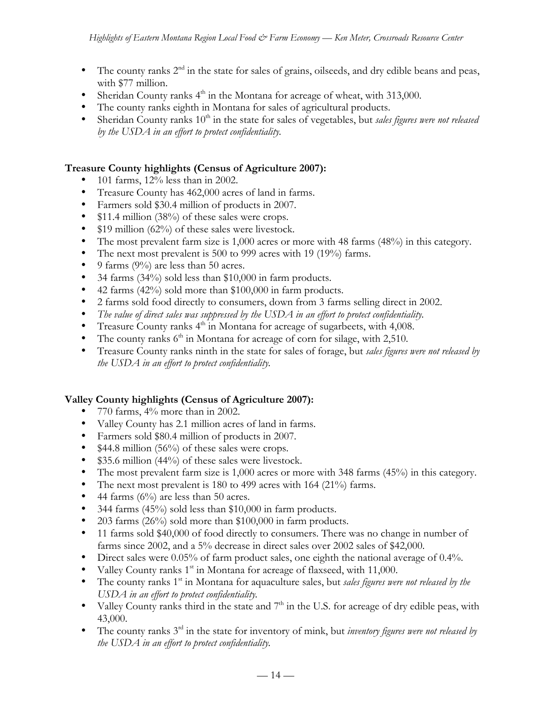- The county ranks  $2<sup>nd</sup>$  in the state for sales of grains, oilseeds, and dry edible beans and peas, with \$77 million.
- Sheridan County ranks  $4<sup>th</sup>$  in the Montana for acreage of wheat, with 313,000.
- The county ranks eighth in Montana for sales of agricultural products.
- Sheridan County ranks 10<sup>th</sup> in the state for sales of vegetables, but *sales figures were not released by the USDA in an effort to protect confidentiality.*

### **Treasure County highlights (Census of Agriculture 2007):**

- 101 farms, 12% less than in 2002.
- Treasure County has 462,000 acres of land in farms.
- Farmers sold \$30.4 million of products in 2007.
- \$11.4 million (38%) of these sales were crops.
- \$19 million (62%) of these sales were livestock.
- The most prevalent farm size is 1,000 acres or more with 48 farms (48%) in this category.
- The next most prevalent is 500 to 999 acres with 19 (19%) farms.
- 9 farms  $(9\%)$  are less than 50 acres.
- 34 farms (34%) sold less than \$10,000 in farm products.
- 42 farms (42%) sold more than \$100,000 in farm products.
- 2 farms sold food directly to consumers, down from 3 farms selling direct in 2002.
- *The value of direct sales was suppressed by the USDA in an effort to protect confidentiality.*
- Treasure County ranks 4<sup>th</sup> in Montana for acreage of sugarbeets, with 4,008.
- The county ranks  $6<sup>th</sup>$  in Montana for acreage of corn for silage, with 2,510.
- Treasure County ranks ninth in the state for sales of forage, but *sales figures were not released by the USDA in an effort to protect confidentiality.*

#### **Valley County highlights (Census of Agriculture 2007):**

- 770 farms, 4% more than in 2002.
- Valley County has 2.1 million acres of land in farms.
- Farmers sold \$80.4 million of products in 2007.
- \$44.8 million (56%) of these sales were crops.
- \$35.6 million (44%) of these sales were livestock.
- The most prevalent farm size is 1,000 acres or more with 348 farms (45%) in this category.
- The next most prevalent is 180 to 499 acres with 164 (21%) farms.
- 44 farms  $(6\%)$  are less than 50 acres.
- 344 farms (45%) sold less than \$10,000 in farm products.
- 203 farms (26%) sold more than \$100,000 in farm products.
- 11 farms sold \$40,000 of food directly to consumers. There was no change in number of farms since 2002, and a 5% decrease in direct sales over 2002 sales of \$42,000.
- Direct sales were 0.05% of farm product sales, one eighth the national average of 0.4%.
- Valley County ranks 1<sup>st</sup> in Montana for acreage of flaxseed, with 11,000.
- The county ranks 1<sup>st</sup> in Montana for aquaculture sales, but *sales figures were not released by the USDA in an effort to protect confidentiality.*
- Valley County ranks third in the state and  $7<sup>th</sup>$  in the U.S. for acreage of dry edible peas, with 43,000.
- The county ranks 3<sup>rd</sup> in the state for inventory of mink, but *inventory figures were not released by the USDA in an effort to protect confidentiality.*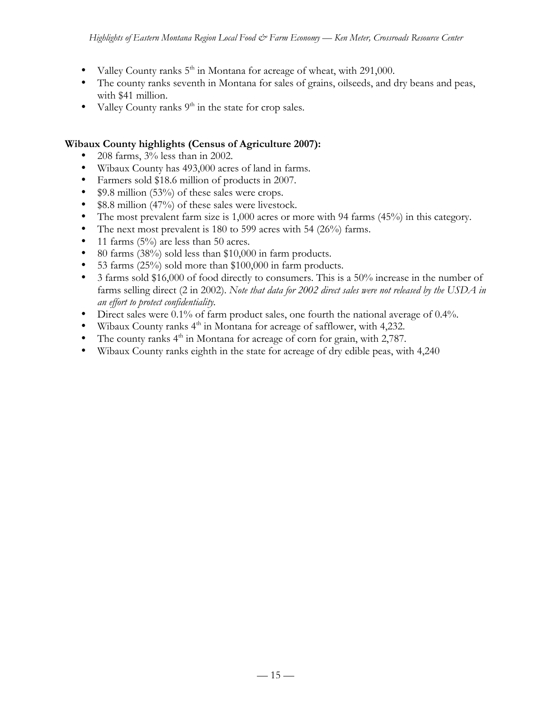- Valley County ranks  $5<sup>th</sup>$  in Montana for acreage of wheat, with 291,000.
- The county ranks seventh in Montana for sales of grains, oilseeds, and dry beans and peas, with \$41 million.
- Valley County ranks  $9<sup>th</sup>$  in the state for crop sales.

#### **Wibaux County highlights (Census of Agriculture 2007):**

- 208 farms, 3% less than in 2002.
- Wibaux County has 493,000 acres of land in farms.
- Farmers sold \$18.6 million of products in 2007.
- \$9.8 million (53%) of these sales were crops.
- \$8.8 million (47%) of these sales were livestock.
- The most prevalent farm size is 1,000 acres or more with 94 farms (45%) in this category.
- The next most prevalent is 180 to 599 acres with 54 (26%) farms.
- 11 farms  $(5\%)$  are less than 50 acres.
- 80 farms (38%) sold less than \$10,000 in farm products.
- 53 farms (25%) sold more than \$100,000 in farm products.
- 3 farms sold \$16,000 of food directly to consumers. This is a 50% increase in the number of farms selling direct (2 in 2002). *Note that data for 2002 direct sales were not released by the USDA in an effort to protect confidentiality.*
- Direct sales were 0.1% of farm product sales, one fourth the national average of 0.4%.
- Wibaux County ranks  $4<sup>th</sup>$  in Montana for acreage of safflower, with 4,232.
- The county ranks  $4<sup>th</sup>$  in Montana for acreage of corn for grain, with 2,787.
- Wibaux County ranks eighth in the state for acreage of dry edible peas, with 4,240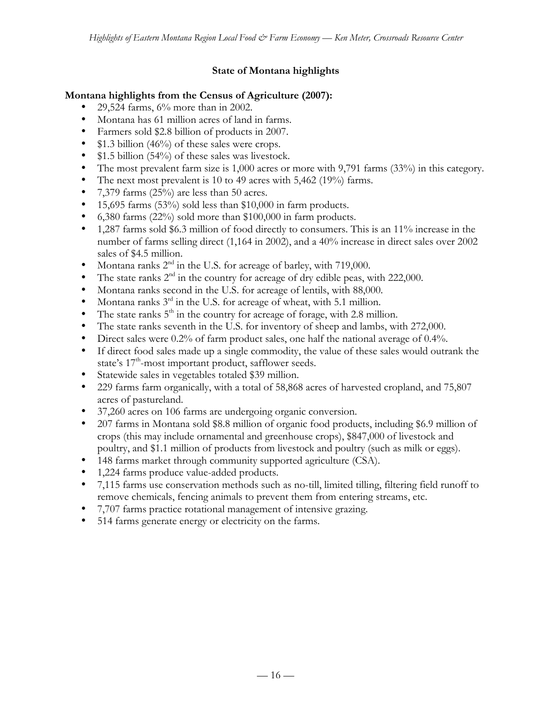## **State of Montana highlights**

### **Montana highlights from the Census of Agriculture (2007):**

- 29,524 farms, 6% more than in 2002.
- Montana has 61 million acres of land in farms.
- Farmers sold \$2.8 billion of products in 2007.
- \$1.3 billion (46%) of these sales were crops.
- \$1.5 billion (54%) of these sales was livestock.
- The most prevalent farm size is 1,000 acres or more with 9,791 farms (33%) in this category.
- The next most prevalent is 10 to 49 acres with 5,462 (19%) farms.
- 7,379 farms (25%) are less than 50 acres.
- 15,695 farms  $(53\%)$  sold less than \$10,000 in farm products.
- 6,380 farms (22%) sold more than \$100,000 in farm products.
- 1,287 farms sold \$6.3 million of food directly to consumers. This is an 11% increase in the number of farms selling direct (1,164 in 2002), and a 40% increase in direct sales over 2002 sales of \$4.5 million.
- Montana ranks  $2<sup>nd</sup>$  in the U.S. for acreage of barley, with 719,000.
- The state ranks  $2<sup>nd</sup>$  in the country for acreage of dry edible peas, with 222,000.
- Montana ranks second in the U.S. for acreage of lentils, with 88,000.
- Montana ranks  $3<sup>rd</sup>$  in the U.S. for acreage of wheat, with 5.1 million.
- The state ranks  $5<sup>th</sup>$  in the country for acreage of forage, with 2.8 million.
- The state ranks seventh in the U.S. for inventory of sheep and lambs, with 272,000.
- Direct sales were 0.2% of farm product sales, one half the national average of 0.4%.
- If direct food sales made up a single commodity, the value of these sales would outrank the state's  $17<sup>th</sup>$ -most important product, safflower seeds.
- Statewide sales in vegetables totaled \$39 million.
- 229 farms farm organically, with a total of 58,868 acres of harvested cropland, and 75,807 acres of pastureland.
- 37,260 acres on 106 farms are undergoing organic conversion.
- 207 farms in Montana sold \$8.8 million of organic food products, including \$6.9 million of crops (this may include ornamental and greenhouse crops), \$847,000 of livestock and poultry, and \$1.1 million of products from livestock and poultry (such as milk or eggs).
- 148 farms market through community supported agriculture (CSA).
- 1,224 farms produce value-added products.
- 7,115 farms use conservation methods such as no-till, limited tilling, filtering field runoff to remove chemicals, fencing animals to prevent them from entering streams, etc.
- 7,707 farms practice rotational management of intensive grazing.
- 514 farms generate energy or electricity on the farms.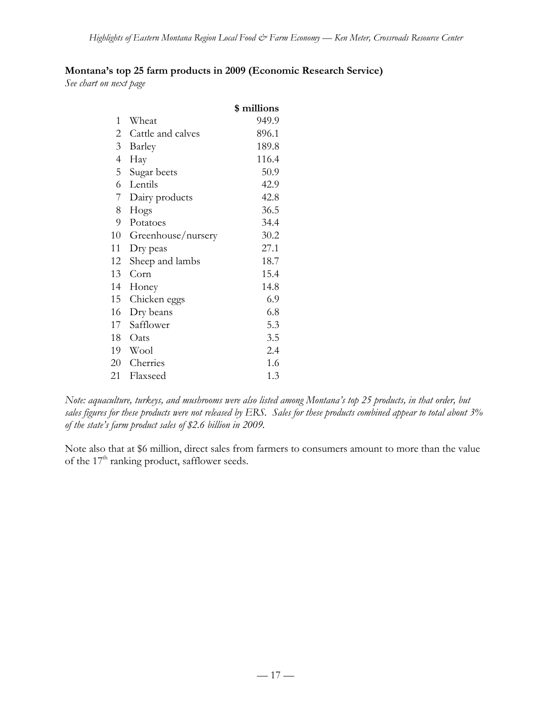## **Montana's top 25 farm products in 2009 (Economic Research Service)**

*See chart on next page*

|                |                    | \$ millions |
|----------------|--------------------|-------------|
| 1              | Wheat              | 949.9       |
| 2              | Cattle and calves  | 896.1       |
| 3              | Barley             | 189.8       |
| $\overline{4}$ | Hay                | 116.4       |
| 5              | Sugar beets        | 50.9        |
| 6              | Lentils            | 42.9        |
| 7              | Dairy products     | 42.8        |
| 8              | Hogs               | 36.5        |
| 9              | Potatoes           | 34.4        |
| 10             | Greenhouse/nursery | 30.2        |
| 11             | Dry peas           | 27.1        |
| 12             | Sheep and lambs    | 18.7        |
| 13             | Corn               | 15.4        |
| 14             | Honey              | 14.8        |
| 15             | Chicken eggs       | 6.9         |
| 16             | Dry beans          | 6.8         |
| 17             | Safflower          | 5.3         |
| 18             | Oats               | 3.5         |
| 19             | Wool               | 2.4         |
| 20             | Cherries           | 1.6         |
| 21             | Flaxseed           | 1.3         |

*Note: aquaculture, turkeys, and mushrooms were also listed among Montana's top 25 products, in that order, but sales figures for these products were not released by ERS. Sales for these products combined appear to total about 3% of the state's farm product sales of \$2.6 billion in 2009.*

Note also that at \$6 million, direct sales from farmers to consumers amount to more than the value of the  $17<sup>th</sup>$  ranking product, safflower seeds.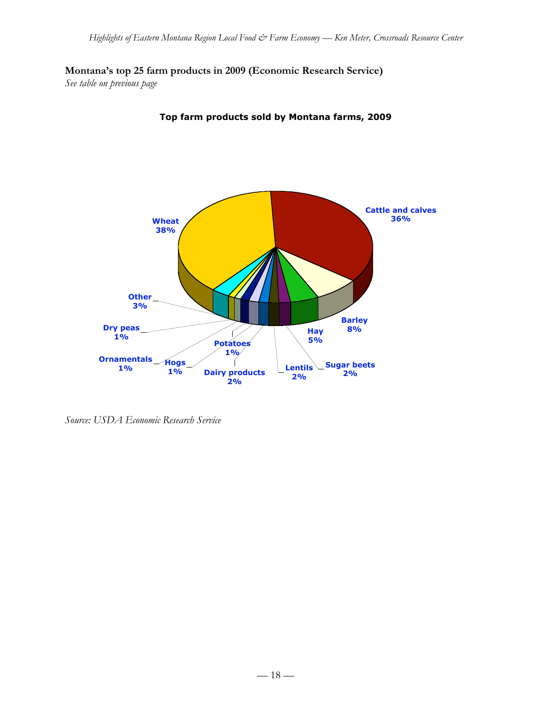**Montana's top 25 farm products in 2009 (Economic Research Service)**

*See table on previous page*



**Top farm products sold by Montana farms, 2009**

*Source: USDA Economic Research Service*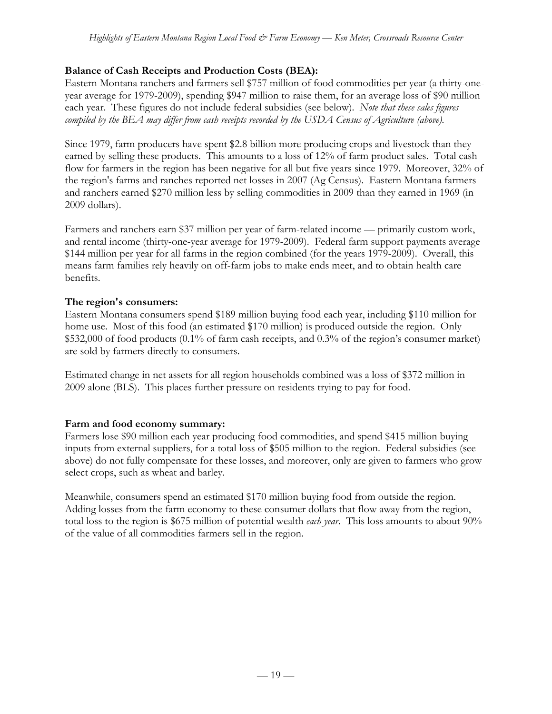## **Balance of Cash Receipts and Production Costs (BEA):**

Eastern Montana ranchers and farmers sell \$757 million of food commodities per year (a thirty-oneyear average for 1979-2009), spending \$947 million to raise them, for an average loss of \$90 million each year. These figures do not include federal subsidies (see below). *Note that these sales figures compiled by the BEA may differ from cash receipts recorded by the USDA Census of Agriculture (above).*

Since 1979, farm producers have spent \$2.8 billion more producing crops and livestock than they earned by selling these products. This amounts to a loss of 12% of farm product sales. Total cash flow for farmers in the region has been negative for all but five years since 1979. Moreover, 32% of the region's farms and ranches reported net losses in 2007 (Ag Census). Eastern Montana farmers and ranchers earned \$270 million less by selling commodities in 2009 than they earned in 1969 (in 2009 dollars).

Farmers and ranchers earn \$37 million per year of farm-related income — primarily custom work, and rental income (thirty-one-year average for 1979-2009). Federal farm support payments average \$144 million per year for all farms in the region combined (for the years 1979-2009). Overall, this means farm families rely heavily on off-farm jobs to make ends meet, and to obtain health care benefits.

## **The region's consumers:**

Eastern Montana consumers spend \$189 million buying food each year, including \$110 million for home use. Most of this food (an estimated \$170 million) is produced outside the region. Only \$532,000 of food products (0.1% of farm cash receipts, and 0.3% of the region's consumer market) are sold by farmers directly to consumers.

Estimated change in net assets for all region households combined was a loss of \$372 million in 2009 alone (BLS). This places further pressure on residents trying to pay for food.

# **Farm and food economy summary:**

Farmers lose \$90 million each year producing food commodities, and spend \$415 million buying inputs from external suppliers, for a total loss of \$505 million to the region. Federal subsidies (see above) do not fully compensate for these losses, and moreover, only are given to farmers who grow select crops, such as wheat and barley.

Meanwhile, consumers spend an estimated \$170 million buying food from outside the region. Adding losses from the farm economy to these consumer dollars that flow away from the region, total loss to the region is \$675 million of potential wealth *each year*. This loss amounts to about 90% of the value of all commodities farmers sell in the region.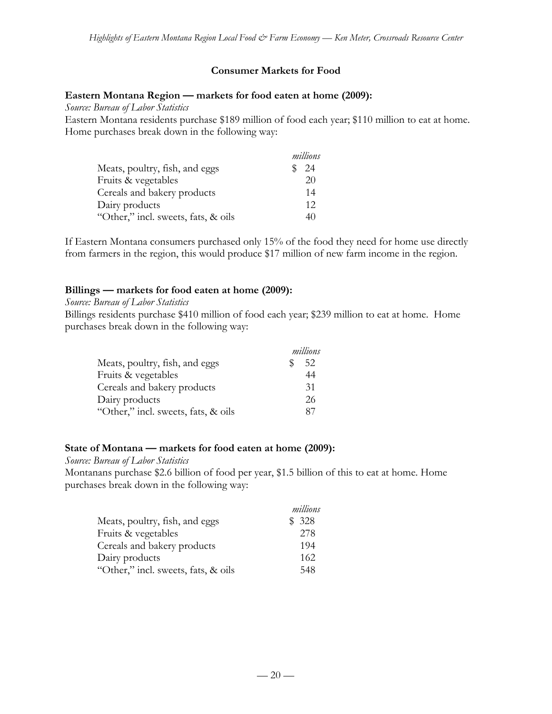#### **Consumer Markets for Food**

#### **Eastern Montana Region — markets for food eaten at home (2009):**

*Source: Bureau of Labor Statistics*

Eastern Montana residents purchase \$189 million of food each year; \$110 million to eat at home. Home purchases break down in the following way:

|                                     | millions |
|-------------------------------------|----------|
| Meats, poultry, fish, and eggs      | 24       |
| Fruits & vegetables                 | 20       |
| Cereals and bakery products         | 14       |
| Dairy products                      | 12       |
| "Other," incl. sweets, fats, & oils | 40       |

If Eastern Montana consumers purchased only 15% of the food they need for home use directly from farmers in the region, this would produce \$17 million of new farm income in the region.

#### **Billings — markets for food eaten at home (2009):**

#### *Source: Bureau of Labor Statistics*

Billings residents purchase \$410 million of food each year; \$239 million to eat at home. Home purchases break down in the following way:

|                                     | millions |
|-------------------------------------|----------|
| Meats, poultry, fish, and eggs      | 52       |
| Fruits & vegetables                 | 44       |
| Cereals and bakery products         | 31       |
| Dairy products                      | 26       |
| "Other," incl. sweets, fats, & oils | 87       |

#### **State of Montana — markets for food eaten at home (2009):**

*Source: Bureau of Labor Statistics*

Montanans purchase \$2.6 billion of food per year, \$1.5 billion of this to eat at home. Home purchases break down in the following way:

|                                     | millions |
|-------------------------------------|----------|
| Meats, poultry, fish, and eggs      | \$328    |
| Fruits & vegetables                 | 278      |
| Cereals and bakery products         | 194      |
| Dairy products                      | 162      |
| "Other," incl. sweets, fats, & oils | 548      |